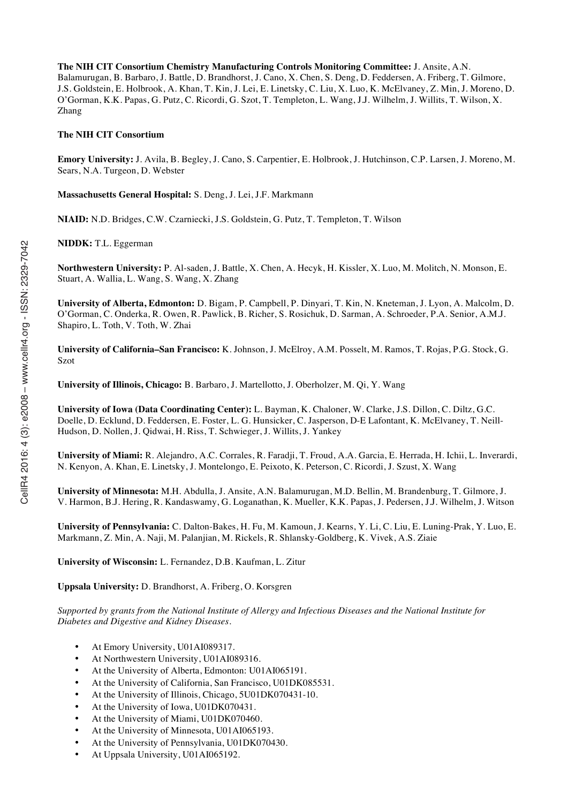**The NIH CIT Consortium Chemistry Manufacturing Controls Monitoring Committee:** J. Ansite, A.N. Balamurugan, B. Barbaro, J. Battle, D. Brandhorst, J. Cano, X. Chen, S. Deng, D. Feddersen, A. Friberg, T. Gilmore, J.S. Goldstein, E. Holbrook, A. Khan, T. Kin, J. Lei, E. Linetsky, C. Liu, X. Luo, K. McElvaney, Z. Min, J. Moreno, D. O'Gorman, K.K. Papas, G. Putz, C. Ricordi, G. Szot, T. Templeton, L. Wang, J.J. Wilhelm, J. Willits, T. Wilson, X. Zhang

#### **The NIH CIT Consortium**

**Emory University:** J. Avila, B. Begley, J. Cano, S. Carpentier, E. Holbrook, J. Hutchinson, C.P. Larsen, J. Moreno, M. Sears, N.A. Turgeon, D. Webster

**Massachusetts General Hospital:** S. Deng, J. Lei, J.F. Markmann

**NIAID:** N.D. Bridges, C.W. Czarniecki, J.S. Goldstein, G. Putz, T. Templeton, T. Wilson

**NIDDK:** T.L. Eggerman

**Northwestern University:** P. Al-saden, J. Battle, X. Chen, A. Hecyk, H. Kissler, X. Luo, M. Molitch, N. Monson, E. Stuart, A. Wallia, L. Wang, S. Wang, X. Zhang

**University of Alberta, Edmonton:** D. Bigam, P. Campbell, P. Dinyari, T. Kin, N. Kneteman, J. Lyon, A. Malcolm, D. O'Gorman, C. Onderka, R. Owen, R. Pawlick, B. Richer, S. Rosichuk, D. Sarman, A. Schroeder, P.A. Senior, A.M.J. Shapiro, L. Toth, V. Toth, W. Zhai

**University of California–San Francisco:** K. Johnson, J. McElroy, A.M. Posselt, M. Ramos, T. Rojas, P.G. Stock, G. Szot

**University of Illinois, Chicago:** B. Barbaro, J. Martellotto, J. Oberholzer, M. Qi, Y. Wang

**University of Iowa (Data Coordinating Center):** L. Bayman, K. Chaloner, W. Clarke, J.S. Dillon, C. Diltz, G.C. Doelle, D. Ecklund, D. Feddersen, E. Foster, L. G. Hunsicker, C. Jasperson, D-E Lafontant, K. McElvaney, T. Neill-Hudson, D. Nollen, J. Qidwai, H. Riss, T. Schwieger, J. Willits, J. Yankey

**University of Miami:** R. Alejandro, A.C. Corrales, R. Faradji, T. Froud, A.A. Garcia, E. Herrada, H. Ichii, L. Inverardi, N. Kenyon, A. Khan, E. Linetsky, J. Montelongo, E. Peixoto, K. Peterson, C. Ricordi, J. Szust, X. Wang

**University of Minnesota:** M.H. Abdulla, J. Ansite, A.N. Balamurugan, M.D. Bellin, M. Brandenburg, T. Gilmore, J. V. Harmon, B.J. Hering, R. Kandaswamy, G. Loganathan, K. Mueller, K.K. Papas, J. Pedersen, J.J. Wilhelm, J. Witson

**University of Pennsylvania:** C. Dalton-Bakes, H. Fu, M. Kamoun, J. Kearns, Y. Li, C. Liu, E. Luning-Prak, Y. Luo, E. Markmann, Z. Min, A. Naji, M. Palanjian, M. Rickels, R. Shlansky-Goldberg, K. Vivek, A.S. Ziaie

**University of Wisconsin:** L. Fernandez, D.B. Kaufman, L. Zitur

**Uppsala University:** D. Brandhorst, A. Friberg, O. Korsgren

*Supported by grants from the National Institute of Allergy and Infectious Diseases and the National Institute for Diabetes and Digestive and Kidney Diseases.*

- At Emory University, U01AI089317.
- At Northwestern University, U01AI089316.
- At the University of Alberta, Edmonton: U01AI065191.
- At the University of California, San Francisco, U01DK085531.
- At the University of Illinois, Chicago, 5U01DK070431-10.
- At the University of Iowa, U01DK070431.
- At the University of Miami, U01DK070460.
- At the University of Minnesota, U01AI065193.
- At the University of Pennsylvania, U01DK070430.
- At Uppsala University, U01AI065192.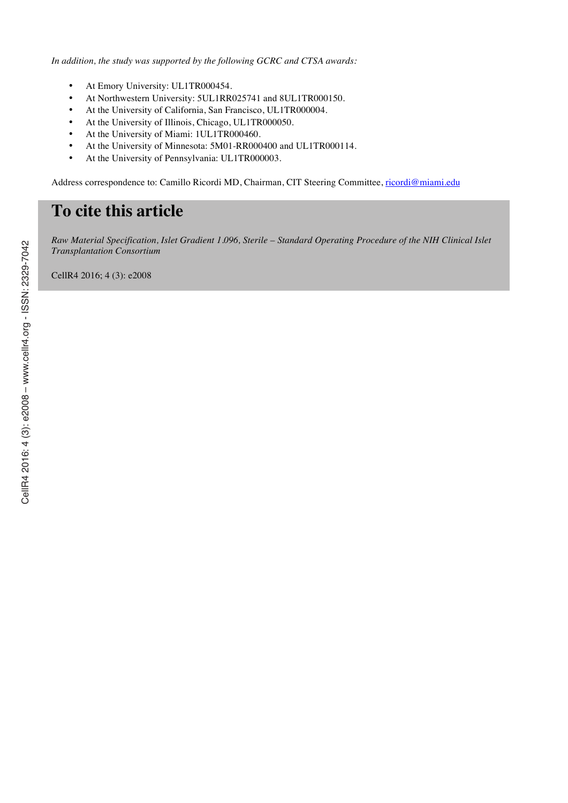*In addition, the study was supported by the following GCRC and CTSA awards:*

- At Emory University: UL1TR000454.
- At Northwestern University: 5UL1RR025741 and 8UL1TR000150.
- At the University of California, San Francisco, UL1TR000004.
- At the University of Illinois, Chicago, UL1TR000050.
- At the University of Miami: 1UL1TR000460.
- At the University of Minnesota: 5M01-RR000400 and UL1TR000114.
- At the University of Pennsylvania: UL1TR000003.

Address correspondence to: Camillo Ricordi MD, Chairman, CIT Steering Committee, ricordi@miami.edu

# **To cite this article**

*Raw Material Specification, Islet Gradient 1.096, Sterile – Standard Operating Procedure of the NIH Clinical Islet Transplantation Consortium*

CellR4 2016; 4 (3): e2008